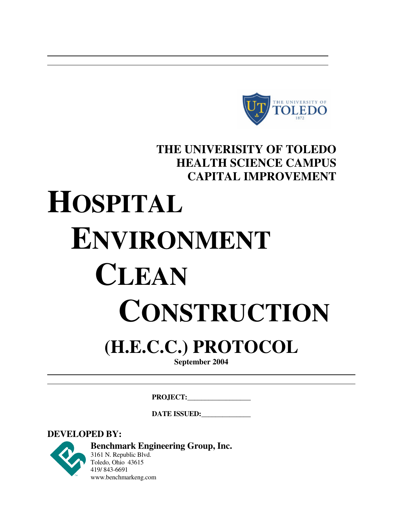

## **THE UNIVERISITY OF TOLEDO HEALTH SCIENCE CAMPUS CAPITAL IMPROVEMENT**

# **HOSPITAL ENVIRONMENT CLEAN CONSTRUCTION**

## **(H.E.C.C.) PROTOCOL**

**September 2004**

**PROJECT:\_\_\_\_\_\_\_\_\_\_\_\_\_\_\_\_\_\_** 

DATE ISSUED:

**DEVELOPED BY:** 

**Benchmark Engineering Group, Inc.** 3161 N. Republic Blvd. Toledo, Ohio 43615 419/ 843-6691

www.benchmarkeng.com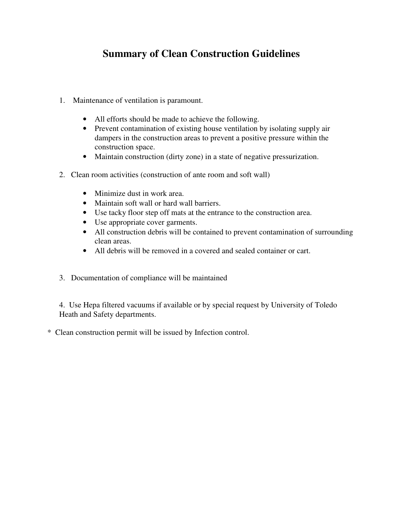## **Summary of Clean Construction Guidelines**

- 1. Maintenance of ventilation is paramount.
	- All efforts should be made to achieve the following.
	- Prevent contamination of existing house ventilation by isolating supply air dampers in the construction areas to prevent a positive pressure within the construction space.
	- Maintain construction (dirty zone) in a state of negative pressurization.
- 2. Clean room activities (construction of ante room and soft wall)
	- Minimize dust in work area.
	- Maintain soft wall or hard wall barriers.
	- Use tacky floor step off mats at the entrance to the construction area.
	- Use appropriate cover garments.
	- All construction debris will be contained to prevent contamination of surrounding clean areas.
	- All debris will be removed in a covered and sealed container or cart.
- 3. Documentation of compliance will be maintained

4. Use Hepa filtered vacuums if available or by special request by University of Toledo Heath and Safety departments.

\* Clean construction permit will be issued by Infection control.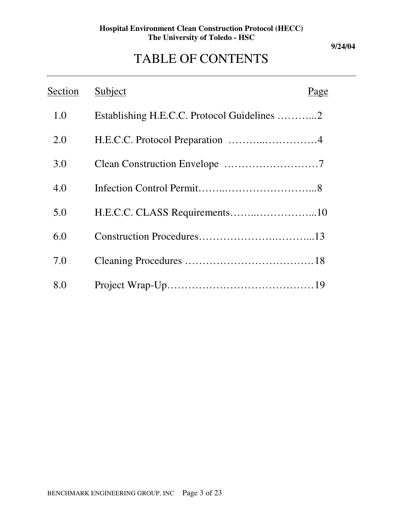#### **9/24/04**

## TABLE OF CONTENTS

| Section | Subject                                     | Page |
|---------|---------------------------------------------|------|
| 1.0     | Establishing H.E.C.C. Protocol Guidelines 2 |      |
| 2.0     | H.E.C.C. Protocol Preparation 4             |      |
| 3.0     |                                             |      |
| 4.0     |                                             |      |
| 5.0     |                                             |      |
| 6.0     |                                             |      |
| 7.0     |                                             |      |
| 8.0     |                                             |      |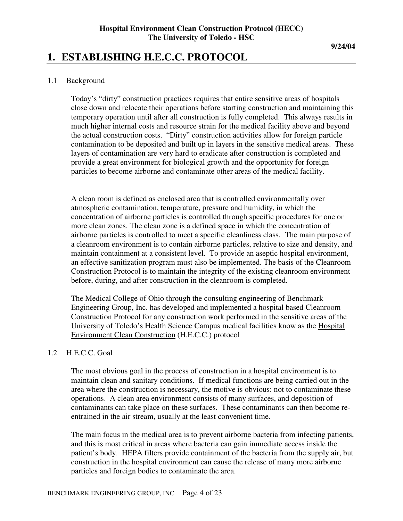#### **9/24/04**

## **1. ESTABLISHING H.E.C.C. PROTOCOL**

#### 1.1 Background

Today's "dirty" construction practices requires that entire sensitive areas of hospitals close down and relocate their operations before starting construction and maintaining this temporary operation until after all construction is fully completed. This always results in much higher internal costs and resource strain for the medical facility above and beyond the actual construction costs. "Dirty" construction activities allow for foreign particle contamination to be deposited and built up in layers in the sensitive medical areas. These layers of contamination are very hard to eradicate after construction is completed and provide a great environment for biological growth and the opportunity for foreign particles to become airborne and contaminate other areas of the medical facility.

A clean room is defined as enclosed area that is controlled environmentally over atmospheric contamination, temperature, pressure and humidity, in which the concentration of airborne particles is controlled through specific procedures for one or more clean zones. The clean zone is a defined space in which the concentration of airborne particles is controlled to meet a specific cleanliness class. The main purpose of a cleanroom environment is to contain airborne particles, relative to size and density, and maintain containment at a consistent level. To provide an aseptic hospital environment, an effective sanitization program must also be implemented. The basis of the Cleanroom Construction Protocol is to maintain the integrity of the existing cleanroom environment before, during, and after construction in the cleanroom is completed.

The Medical College of Ohio through the consulting engineering of Benchmark Engineering Group, Inc. has developed and implemented a hospital based Cleanroom Construction Protocol for any construction work performed in the sensitive areas of the University of Toledo's Health Science Campus medical facilities know as the Hospital Environment Clean Construction (H.E.C.C.) protocol

#### 1.2 H.E.C.C. Goal

The most obvious goal in the process of construction in a hospital environment is to maintain clean and sanitary conditions. If medical functions are being carried out in the area where the construction is necessary, the motive is obvious: not to contaminate these operations. A clean area environment consists of many surfaces, and deposition of contaminants can take place on these surfaces. These contaminants can then become reentrained in the air stream, usually at the least convenient time.

The main focus in the medical area is to prevent airborne bacteria from infecting patients, and this is most critical in areas where bacteria can gain immediate access inside the patient's body. HEPA filters provide containment of the bacteria from the supply air, but construction in the hospital environment can cause the release of many more airborne particles and foreign bodies to contaminate the area.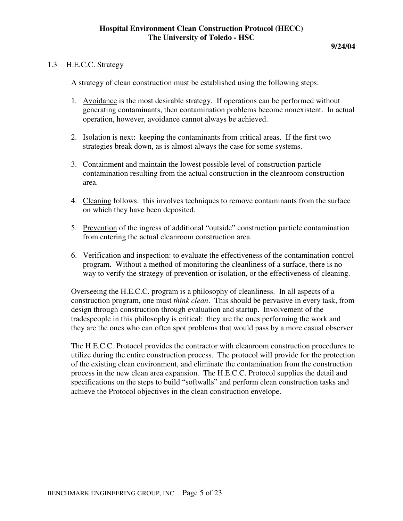#### 1.3 H.E.C.C. Strategy

A strategy of clean construction must be established using the following steps:

- 1. Avoidance is the most desirable strategy. If operations can be performed without generating contaminants, then contamination problems become nonexistent. In actual operation, however, avoidance cannot always be achieved.
- 2. Isolation is next: keeping the contaminants from critical areas. If the first two strategies break down, as is almost always the case for some systems.
- 3. Containment and maintain the lowest possible level of construction particle contamination resulting from the actual construction in the cleanroom construction area.
- 4. Cleaning follows: this involves techniques to remove contaminants from the surface on which they have been deposited.
- 5. Prevention of the ingress of additional "outside" construction particle contamination from entering the actual cleanroom construction area.
- 6. Verification and inspection: to evaluate the effectiveness of the contamination control program. Without a method of monitoring the cleanliness of a surface, there is no way to verify the strategy of prevention or isolation, or the effectiveness of cleaning.

Overseeing the H.E.C.C. program is a philosophy of cleanliness. In all aspects of a construction program, one must *think clean*. This should be pervasive in every task, from design through construction through evaluation and startup. Involvement of the tradespeople in this philosophy is critical: they are the ones performing the work and they are the ones who can often spot problems that would pass by a more casual observer.

The H.E.C.C. Protocol provides the contractor with cleanroom construction procedures to utilize during the entire construction process. The protocol will provide for the protection of the existing clean environment, and eliminate the contamination from the construction process in the new clean area expansion. The H.E.C.C. Protocol supplies the detail and specifications on the steps to build "softwalls" and perform clean construction tasks and achieve the Protocol objectives in the clean construction envelope.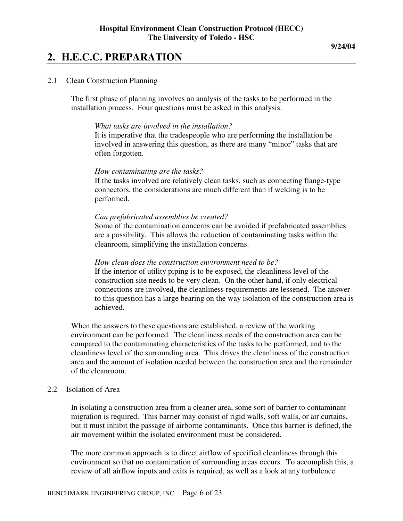## **2. H.E.C.C. PREPARATION**

#### 2.1 Clean Construction Planning

The first phase of planning involves an analysis of the tasks to be performed in the installation process. Four questions must be asked in this analysis:

#### *What tasks are involved in the installation?*

It is imperative that the tradespeople who are performing the installation be involved in answering this question, as there are many "minor" tasks that are often forgotten.

#### *How contaminating are the tasks?*

If the tasks involved are relatively clean tasks, such as connecting flange-type connectors, the considerations are much different than if welding is to be performed.

#### *Can prefabricated assemblies be created?*

Some of the contamination concerns can be avoided if prefabricated assemblies are a possibility. This allows the reduction of contaminating tasks within the cleanroom, simplifying the installation concerns.

#### *How clean does the construction environment need to be?*

If the interior of utility piping is to be exposed, the cleanliness level of the construction site needs to be very clean. On the other hand, if only electrical connections are involved, the cleanliness requirements are lessened. The answer to this question has a large bearing on the way isolation of the construction area is achieved.

When the answers to these questions are established, a review of the working environment can be performed. The cleanliness needs of the construction area can be compared to the contaminating characteristics of the tasks to be performed, and to the cleanliness level of the surrounding area. This drives the cleanliness of the construction area and the amount of isolation needed between the construction area and the remainder of the cleanroom.

#### 2.2 Isolation of Area

In isolating a construction area from a cleaner area, some sort of barrier to contaminant migration is required. This barrier may consist of rigid walls, soft walls, or air curtains, but it must inhibit the passage of airborne contaminants. Once this barrier is defined, the air movement within the isolated environment must be considered.

The more common approach is to direct airflow of specified cleanliness through this environment so that no contamination of surrounding areas occurs. To accomplish this, a review of all airflow inputs and exits is required, as well as a look at any turbulence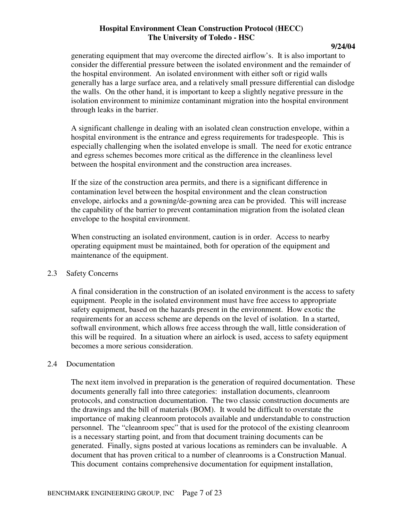#### **9/24/04**

generating equipment that may overcome the directed airflow's. It is also important to consider the differential pressure between the isolated environment and the remainder of the hospital environment. An isolated environment with either soft or rigid walls generally has a large surface area, and a relatively small pressure differential can dislodge the walls. On the other hand, it is important to keep a slightly negative pressure in the isolation environment to minimize contaminant migration into the hospital environment through leaks in the barrier.

A significant challenge in dealing with an isolated clean construction envelope, within a hospital environment is the entrance and egress requirements for tradespeople. This is especially challenging when the isolated envelope is small. The need for exotic entrance and egress schemes becomes more critical as the difference in the cleanliness level between the hospital environment and the construction area increases.

If the size of the construction area permits, and there is a significant difference in contamination level between the hospital environment and the clean construction envelope, airlocks and a gowning/de-gowning area can be provided. This will increase the capability of the barrier to prevent contamination migration from the isolated clean envelope to the hospital environment.

When constructing an isolated environment, caution is in order. Access to nearby operating equipment must be maintained, both for operation of the equipment and maintenance of the equipment.

#### 2.3 Safety Concerns

A final consideration in the construction of an isolated environment is the access to safety equipment. People in the isolated environment must have free access to appropriate safety equipment, based on the hazards present in the environment. How exotic the requirements for an access scheme are depends on the level of isolation. In a started, softwall environment, which allows free access through the wall, little consideration of this will be required. In a situation where an airlock is used, access to safety equipment becomes a more serious consideration.

#### 2.4 Documentation

The next item involved in preparation is the generation of required documentation. These documents generally fall into three categories: installation documents, cleanroom protocols, and construction documentation. The two classic construction documents are the drawings and the bill of materials (BOM). It would be difficult to overstate the importance of making cleanroom protocols available and understandable to construction personnel. The "cleanroom spec" that is used for the protocol of the existing cleanroom is a necessary starting point, and from that document training documents can be generated. Finally, signs posted at various locations as reminders can be invaluable. A document that has proven critical to a number of cleanrooms is a Construction Manual. This document contains comprehensive documentation for equipment installation,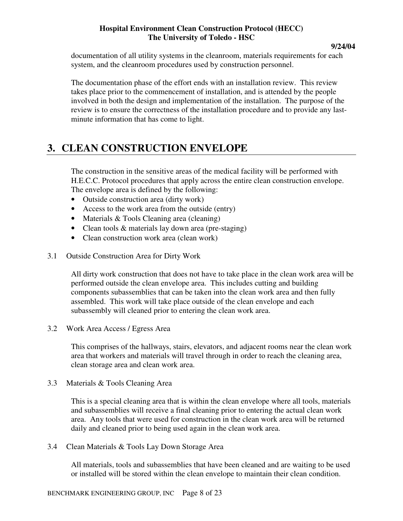documentation of all utility systems in the cleanroom, materials requirements for each system, and the cleanroom procedures used by construction personnel.

The documentation phase of the effort ends with an installation review. This review takes place prior to the commencement of installation, and is attended by the people involved in both the design and implementation of the installation. The purpose of the review is to ensure the correctness of the installation procedure and to provide any lastminute information that has come to light.

## **3. CLEAN CONSTRUCTION ENVELOPE**

The construction in the sensitive areas of the medical facility will be performed with H.E.C.C. Protocol procedures that apply across the entire clean construction envelope. The envelope area is defined by the following:

- Outside construction area (dirty work)
- Access to the work area from the outside (entry)
- Materials & Tools Cleaning area (cleaning)
- Clean tools & materials lay down area (pre-staging)
- Clean construction work area (clean work)
- 3.1 Outside Construction Area for Dirty Work

All dirty work construction that does not have to take place in the clean work area will be performed outside the clean envelope area. This includes cutting and building components subassemblies that can be taken into the clean work area and then fully assembled. This work will take place outside of the clean envelope and each subassembly will cleaned prior to entering the clean work area.

3.2 Work Area Access / Egress Area

This comprises of the hallways, stairs, elevators, and adjacent rooms near the clean work area that workers and materials will travel through in order to reach the cleaning area, clean storage area and clean work area.

3.3 Materials & Tools Cleaning Area

This is a special cleaning area that is within the clean envelope where all tools, materials and subassemblies will receive a final cleaning prior to entering the actual clean work area. Any tools that were used for construction in the clean work area will be returned daily and cleaned prior to being used again in the clean work area.

3.4 Clean Materials & Tools Lay Down Storage Area

All materials, tools and subassemblies that have been cleaned and are waiting to be used or installed will be stored within the clean envelope to maintain their clean condition.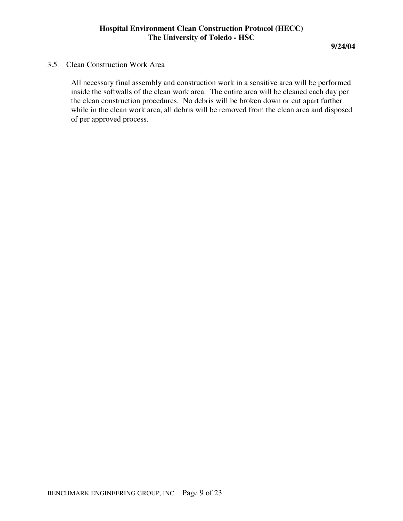#### 3.5 Clean Construction Work Area

All necessary final assembly and construction work in a sensitive area will be performed inside the softwalls of the clean work area. The entire area will be cleaned each day per the clean construction procedures. No debris will be broken down or cut apart further while in the clean work area, all debris will be removed from the clean area and disposed of per approved process.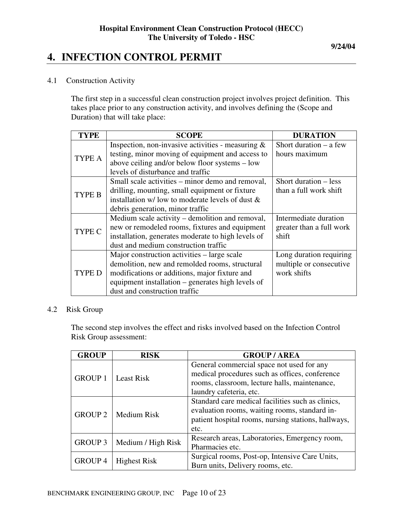#### **9/24/04**

## **4. INFECTION CONTROL PERMIT**

#### 4.1 Construction Activity

The first step in a successful clean construction project involves project definition. This takes place prior to any construction activity, and involves defining the (Scope and Duration) that will take place:

| <b>TYPE</b>   | <b>SCOPE</b>                                         | <b>DURATION</b>          |
|---------------|------------------------------------------------------|--------------------------|
| <b>TYPE A</b> | Inspection, non-invasive activities - measuring $\&$ | Short duration $-$ a few |
|               | testing, minor moving of equipment and access to     | hours maximum            |
|               | above ceiling and/or below floor systems – low       |                          |
|               | levels of disturbance and traffic                    |                          |
| TYPE B        | Small scale activities – minor demo and removal,     | Short duration – less    |
|               | drilling, mounting, small equipment or fixture       | than a full work shift   |
|               | installation $w$ low to moderate levels of dust $\&$ |                          |
|               | debris generation, minor traffic                     |                          |
| TYPE C        | Medium scale activity – demolition and removal,      | Intermediate duration    |
|               | new or remodeled rooms, fixtures and equipment       | greater than a full work |
|               | installation, generates moderate to high levels of   | shift                    |
|               | dust and medium construction traffic                 |                          |
| <b>TYPE D</b> | Major construction activities – large scale          | Long duration requiring  |
|               | demolition, new and remolded rooms, structural       | multiple or consecutive  |
|               | modifications or additions, major fixture and        | work shifts              |
|               | equipment installation – generates high levels of    |                          |
|               | dust and construction traffic                        |                          |

#### 4.2 Risk Group

The second step involves the effect and risks involved based on the Infection Control Risk Group assessment:

| <b>GROUP</b>   | <b>RISK</b>         | <b>GROUP/AREA</b>                                   |  |  |
|----------------|---------------------|-----------------------------------------------------|--|--|
| <b>GROUP 1</b> | <b>Least Risk</b>   | General commercial space not used for any           |  |  |
|                |                     | medical procedures such as offices, conference      |  |  |
|                |                     | rooms, classroom, lecture halls, maintenance,       |  |  |
|                |                     | laundry cafeteria, etc.                             |  |  |
| <b>GROUP 2</b> | Medium Risk         | Standard care medical facilities such as clinics,   |  |  |
|                |                     | evaluation rooms, waiting rooms, standard in-       |  |  |
|                |                     | patient hospital rooms, nursing stations, hallways, |  |  |
|                |                     | etc.                                                |  |  |
| <b>GROUP 3</b> |                     | Research areas, Laboratories, Emergency room,       |  |  |
|                | Medium / High Risk  | Pharmacies etc.                                     |  |  |
| GROUP 4        |                     | Surgical rooms, Post-op, Intensive Care Units,      |  |  |
|                | <b>Highest Risk</b> | Burn units, Delivery rooms, etc.                    |  |  |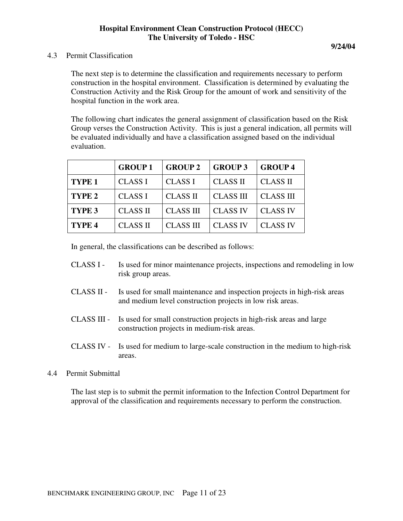4.3 Permit Classification

The next step is to determine the classification and requirements necessary to perform construction in the hospital environment. Classification is determined by evaluating the Construction Activity and the Risk Group for the amount of work and sensitivity of the hospital function in the work area.

The following chart indicates the general assignment of classification based on the Risk Group verses the Construction Activity. This is just a general indication, all permits will be evaluated individually and have a classification assigned based on the individual evaluation.

|                   | <b>GROUP1</b>   | <b>GROUP 2</b>   | <b>GROUP 3</b>   | <b>GROUP4</b>    |
|-------------------|-----------------|------------------|------------------|------------------|
| TYPE <sub>1</sub> | <b>CLASS I</b>  | <b>CLASS I</b>   | <b>CLASS II</b>  | <b>CLASS II</b>  |
| TYPE <sub>2</sub> | <b>CLASS I</b>  | <b>CLASS II</b>  | <b>CLASS III</b> | <b>CLASS III</b> |
| TYPE <sub>3</sub> | <b>CLASS II</b> | <b>CLASS III</b> | <b>CLASS IV</b>  | <b>CLASS IV</b>  |
| TYPE <sub>4</sub> | <b>CLASS II</b> | <b>CLASS III</b> | <b>CLASS IV</b>  | <b>CLASS IV</b>  |

In general, the classifications can be described as follows:

- CLASS I Is used for minor maintenance projects, inspections and remodeling in low risk group areas.
- CLASS II Is used for small maintenance and inspection projects in high-risk areas and medium level construction projects in low risk areas.
- CLASS III Is used for small construction projects in high-risk areas and large construction projects in medium-risk areas.
- CLASS IV Is used for medium to large-scale construction in the medium to high-risk areas.

#### 4.4 Permit Submittal

The last step is to submit the permit information to the Infection Control Department for approval of the classification and requirements necessary to perform the construction.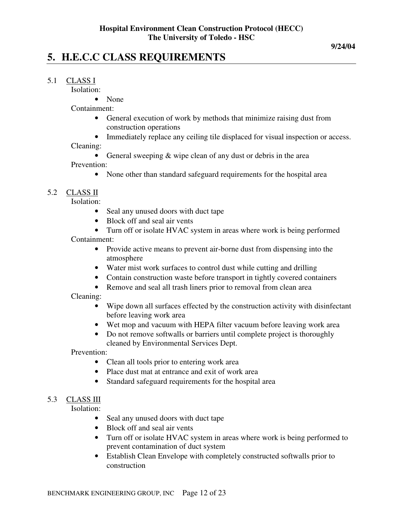## **5. H.E.C.C CLASS REQUIREMENTS**

#### 5.1 CLASS I

Isolation:

• None

Containment:

- General execution of work by methods that minimize raising dust from construction operations
- Immediately replace any ceiling tile displaced for visual inspection or access.

Cleaning:

- General sweeping  $&$  wipe clean of any dust or debris in the area Prevention:
	- None other than standard safeguard requirements for the hospital area

#### 5.2 CLASS II

Isolation:

- Seal any unused doors with duct tape
- Block off and seal air vents
- Turn off or isolate HVAC system in areas where work is being performed Containment:
	- Provide active means to prevent air-borne dust from dispensing into the atmosphere
	- Water mist work surfaces to control dust while cutting and drilling
	- Contain construction waste before transport in tightly covered containers
	- Remove and seal all trash liners prior to removal from clean area

Cleaning:

- Wipe down all surfaces effected by the construction activity with disinfectant before leaving work area
- Wet mop and vacuum with HEPA filter vacuum before leaving work area
- Do not remove softwalls or barriers until complete project is thoroughly cleaned by Environmental Services Dept.

Prevention:

- Clean all tools prior to entering work area
- Place dust mat at entrance and exit of work area
- Standard safeguard requirements for the hospital area

#### 5.3 CLASS III

Isolation:

- Seal any unused doors with duct tape
- Block off and seal air vents
- Turn off or isolate HVAC system in areas where work is being performed to prevent contamination of duct system
- Establish Clean Envelope with completely constructed softwalls prior to construction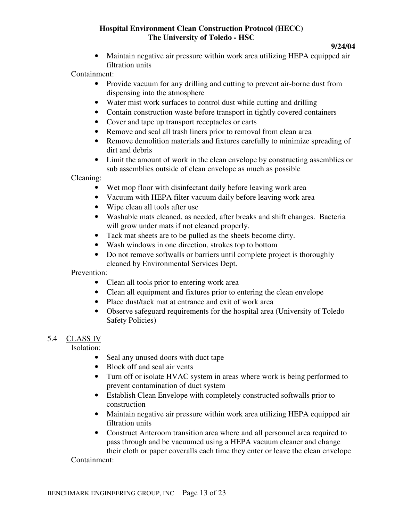#### **9/24/04**

• Maintain negative air pressure within work area utilizing HEPA equipped air filtration units

Containment:

- Provide vacuum for any drilling and cutting to prevent air-borne dust from dispensing into the atmosphere
- Water mist work surfaces to control dust while cutting and drilling
- Contain construction waste before transport in tightly covered containers
- Cover and tape up transport receptacles or carts
- Remove and seal all trash liners prior to removal from clean area
- Remove demolition materials and fixtures carefully to minimize spreading of dirt and debris
- Limit the amount of work in the clean envelope by constructing assemblies or sub assemblies outside of clean envelope as much as possible

Cleaning:

- Wet mop floor with disinfectant daily before leaving work area
- Vacuum with HEPA filter vacuum daily before leaving work area
- Wipe clean all tools after use
- Washable mats cleaned, as needed, after breaks and shift changes. Bacteria will grow under mats if not cleaned properly.
- Tack mat sheets are to be pulled as the sheets become dirty.
- Wash windows in one direction, strokes top to bottom
- Do not remove softwalls or barriers until complete project is thoroughly cleaned by Environmental Services Dept.

Prevention:

- Clean all tools prior to entering work area
- Clean all equipment and fixtures prior to entering the clean envelope
- Place dust/tack mat at entrance and exit of work area
- Observe safeguard requirements for the hospital area (University of Toledo Safety Policies)

#### 5.4 CLASS IV

Isolation:

- Seal any unused doors with duct tape
- Block off and seal air vents
- Turn off or isolate HVAC system in areas where work is being performed to prevent contamination of duct system
- Establish Clean Envelope with completely constructed softwalls prior to construction
- Maintain negative air pressure within work area utilizing HEPA equipped air filtration units
- Construct Anteroom transition area where and all personnel area required to pass through and be vacuumed using a HEPA vacuum cleaner and change their cloth or paper coveralls each time they enter or leave the clean envelope

Containment: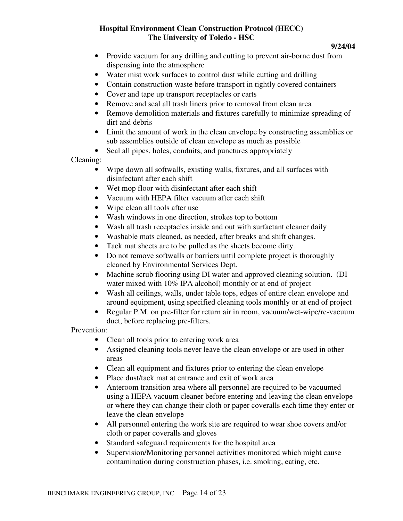**9/24/04** 

- Provide vacuum for any drilling and cutting to prevent air-borne dust from dispensing into the atmosphere
- Water mist work surfaces to control dust while cutting and drilling
- Contain construction waste before transport in tightly covered containers
- Cover and tape up transport receptacles or carts
- Remove and seal all trash liners prior to removal from clean area
- Remove demolition materials and fixtures carefully to minimize spreading of dirt and debris
- Limit the amount of work in the clean envelope by constructing assemblies or sub assemblies outside of clean envelope as much as possible
- Seal all pipes, holes, conduits, and punctures appropriately

Cleaning:

- Wipe down all softwalls, existing walls, fixtures, and all surfaces with disinfectant after each shift
- Wet mop floor with disinfectant after each shift
- Vacuum with HEPA filter vacuum after each shift
- Wipe clean all tools after use
- Wash windows in one direction, strokes top to bottom
- Wash all trash receptacles inside and out with surfactant cleaner daily
- Washable mats cleaned, as needed, after breaks and shift changes.
- Tack mat sheets are to be pulled as the sheets become dirty.
- Do not remove softwalls or barriers until complete project is thoroughly cleaned by Environmental Services Dept.
- Machine scrub flooring using DI water and approved cleaning solution. (DI water mixed with 10% IPA alcohol) monthly or at end of project
- Wash all ceilings, walls, under table tops, edges of entire clean envelope and around equipment, using specified cleaning tools monthly or at end of project
- Regular P.M. on pre-filter for return air in room, vacuum/wet-wipe/re-vacuum duct, before replacing pre-filters.

Prevention:

- Clean all tools prior to entering work area
- Assigned cleaning tools never leave the clean envelope or are used in other areas
- Clean all equipment and fixtures prior to entering the clean envelope
- Place dust/tack mat at entrance and exit of work area
- Anteroom transition area where all personnel are required to be vacuumed using a HEPA vacuum cleaner before entering and leaving the clean envelope or where they can change their cloth or paper coveralls each time they enter or leave the clean envelope
- All personnel entering the work site are required to wear shoe covers and/or cloth or paper coveralls and gloves
- Standard safeguard requirements for the hospital area
- Supervision/Monitoring personnel activities monitored which might cause contamination during construction phases, i.e. smoking, eating, etc.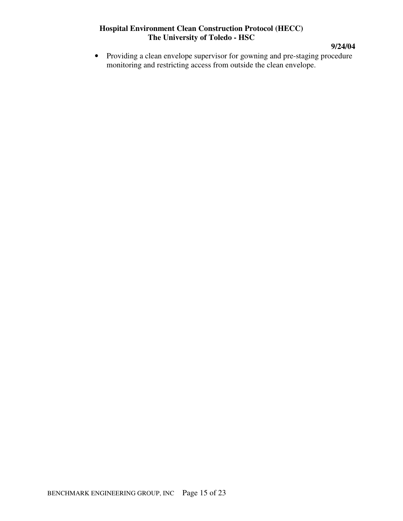**9/24/04** 

• Providing a clean envelope supervisor for gowning and pre-staging procedure monitoring and restricting access from outside the clean envelope.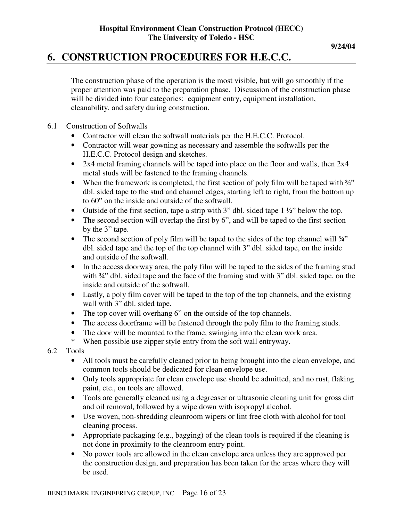## **6. CONSTRUCTION PROCEDURES FOR H.E.C.C.**

The construction phase of the operation is the most visible, but will go smoothly if the proper attention was paid to the preparation phase. Discussion of the construction phase will be divided into four categories: equipment entry, equipment installation, cleanability, and safety during construction.

#### 6.1 Construction of Softwalls

- Contractor will clean the softwall materials per the H.E.C.C. Protocol.
- Contractor will wear gowning as necessary and assemble the softwalls per the H.E.C.C. Protocol design and sketches.
- 2x4 metal framing channels will be taped into place on the floor and walls, then 2x4 metal studs will be fastened to the framing channels.
- When the framework is completed, the first section of poly film will be taped with  $\frac{3}{4}$ " dbl. sided tape to the stud and channel edges, starting left to right, from the bottom up to 60" on the inside and outside of the softwall.
- Outside of the first section, tape a strip with 3" dbl. sided tape 1 ½" below the top.
- The second section will overlap the first by 6", and will be taped to the first section by the 3" tape.
- The second section of poly film will be taped to the sides of the top channel will  $\frac{3}{4}$ " dbl. sided tape and the top of the top channel with 3" dbl. sided tape, on the inside and outside of the softwall.
- In the access doorway area, the poly film will be taped to the sides of the framing stud with  $\frac{3}{4}$ " dbl. sided tape and the face of the framing stud with 3" dbl. sided tape, on the inside and outside of the softwall.
- Lastly, a poly film cover will be taped to the top of the top channels, and the existing wall with 3" dbl. sided tape.
- The top cover will overhang 6" on the outside of the top channels.
- The access doorframe will be fastened through the poly film to the framing studs.
- The door will be mounted to the frame, swinging into the clean work area.
- \* When possible use zipper style entry from the soft wall entryway.
- 6.2 Tools
	- All tools must be carefully cleaned prior to being brought into the clean envelope, and common tools should be dedicated for clean envelope use.
	- Only tools appropriate for clean envelope use should be admitted, and no rust, flaking paint, etc., on tools are allowed.
	- Tools are generally cleaned using a degreaser or ultrasonic cleaning unit for gross dirt and oil removal, followed by a wipe down with isopropyl alcohol.
	- Use woven, non-shredding cleanroom wipers or lint free cloth with alcohol for tool cleaning process.
	- Appropriate packaging (e.g., bagging) of the clean tools is required if the cleaning is not done in proximity to the cleanroom entry point.
	- No power tools are allowed in the clean envelope area unless they are approved per the construction design, and preparation has been taken for the areas where they will be used.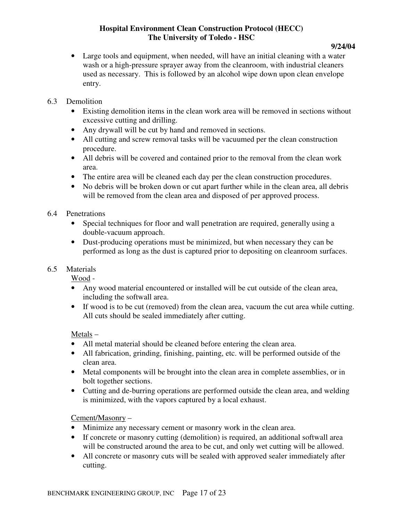#### **9/24/04**

• Large tools and equipment, when needed, will have an initial cleaning with a water wash or a high-pressure sprayer away from the cleanroom, with industrial cleaners used as necessary. This is followed by an alcohol wipe down upon clean envelope entry.

#### 6.3 Demolition

- Existing demolition items in the clean work area will be removed in sections without excessive cutting and drilling.
- Any drywall will be cut by hand and removed in sections.
- All cutting and screw removal tasks will be vacuumed per the clean construction procedure.
- All debris will be covered and contained prior to the removal from the clean work area.
- The entire area will be cleaned each day per the clean construction procedures.
- No debris will be broken down or cut apart further while in the clean area, all debris will be removed from the clean area and disposed of per approved process.

#### 6.4 Penetrations

- Special techniques for floor and wall penetration are required, generally using a double-vacuum approach.
- Dust-producing operations must be minimized, but when necessary they can be performed as long as the dust is captured prior to depositing on cleanroom surfaces.

#### 6.5 Materials

Wood -

- Any wood material encountered or installed will be cut outside of the clean area, including the softwall area.
- If wood is to be cut (removed) from the clean area, vacuum the cut area while cutting. All cuts should be sealed immediately after cutting.

#### Metals –

- All metal material should be cleaned before entering the clean area.
- All fabrication, grinding, finishing, painting, etc. will be performed outside of the clean area.
- Metal components will be brought into the clean area in complete assemblies, or in bolt together sections.
- Cutting and de-burring operations are performed outside the clean area, and welding is minimized, with the vapors captured by a local exhaust.

#### Cement/Masonry –

- Minimize any necessary cement or masonry work in the clean area.
- If concrete or masonry cutting (demolition) is required, an additional softwall area will be constructed around the area to be cut, and only wet cutting will be allowed.
- All concrete or masonry cuts will be sealed with approved sealer immediately after cutting.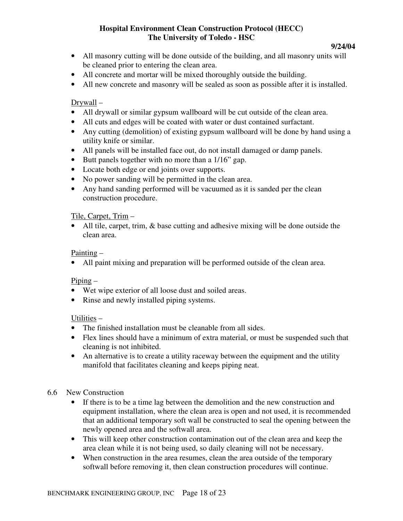#### **9/24/04**

- All masonry cutting will be done outside of the building, and all masonry units will be cleaned prior to entering the clean area.
- All concrete and mortar will be mixed thoroughly outside the building.
- All new concrete and masonry will be sealed as soon as possible after it is installed.

#### Drywall –

- All drywall or similar gypsum wallboard will be cut outside of the clean area.
- All cuts and edges will be coated with water or dust contained surfactant.
- Any cutting (demolition) of existing gypsum wallboard will be done by hand using a utility knife or similar.
- All panels will be installed face out, do not install damaged or damp panels.
- Butt panels together with no more than a 1/16" gap.
- Locate both edge or end joints over supports.
- No power sanding will be permitted in the clean area.
- Any hand sanding performed will be vacuumed as it is sanded per the clean construction procedure.

#### Tile, Carpet, Trim –

• All tile, carpet, trim, & base cutting and adhesive mixing will be done outside the clean area.

#### Painting –

• All paint mixing and preparation will be performed outside of the clean area.

#### Piping –

- Wet wipe exterior of all loose dust and soiled areas.
- Rinse and newly installed piping systems.

#### Utilities –

- The finished installation must be cleanable from all sides.
- Flex lines should have a minimum of extra material, or must be suspended such that cleaning is not inhibited.
- An alternative is to create a utility raceway between the equipment and the utility manifold that facilitates cleaning and keeps piping neat.

#### 6.6 New Construction

- If there is to be a time lag between the demolition and the new construction and equipment installation, where the clean area is open and not used, it is recommended that an additional temporary soft wall be constructed to seal the opening between the newly opened area and the softwall area.
- This will keep other construction contamination out of the clean area and keep the area clean while it is not being used, so daily cleaning will not be necessary.
- When construction in the area resumes, clean the area outside of the temporary softwall before removing it, then clean construction procedures will continue.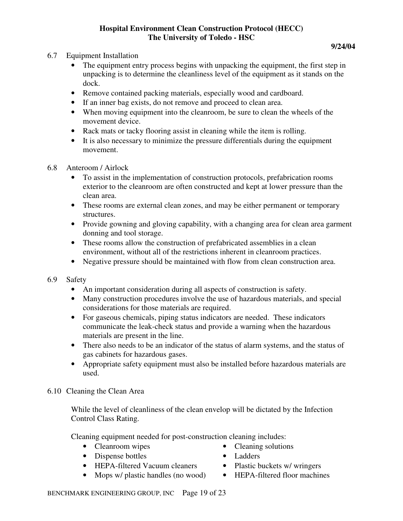- 6.7 Equipment Installation
	- The equipment entry process begins with unpacking the equipment, the first step in unpacking is to determine the cleanliness level of the equipment as it stands on the dock.
	- Remove contained packing materials, especially wood and cardboard.
	- If an inner bag exists, do not remove and proceed to clean area.
	- When moving equipment into the cleanroom, be sure to clean the wheels of the movement device.
	- Rack mats or tacky flooring assist in cleaning while the item is rolling.
	- It is also necessary to minimize the pressure differentials during the equipment movement.
- 6.8 Anteroom / Airlock
	- To assist in the implementation of construction protocols, prefabrication rooms exterior to the cleanroom are often constructed and kept at lower pressure than the clean area.
	- These rooms are external clean zones, and may be either permanent or temporary structures.
	- Provide gowning and gloving capability, with a changing area for clean area garment donning and tool storage.
	- These rooms allow the construction of prefabricated assemblies in a clean environment, without all of the restrictions inherent in cleanroom practices.
	- Negative pressure should be maintained with flow from clean construction area.
- 6.9 Safety
	- An important consideration during all aspects of construction is safety.
	- Many construction procedures involve the use of hazardous materials, and special considerations for those materials are required.
	- For gaseous chemicals, piping status indicators are needed. These indicators communicate the leak-check status and provide a warning when the hazardous materials are present in the line.
	- There also needs to be an indicator of the status of alarm systems, and the status of gas cabinets for hazardous gases.
	- Appropriate safety equipment must also be installed before hazardous materials are used.
- 6.10 Cleaning the Clean Area

While the level of cleanliness of the clean envelop will be dictated by the Infection Control Class Rating.

Cleaning equipment needed for post-construction cleaning includes:

- 
- Dispense bottles Ladders
- HEPA-filtered Vacuum cleaners Plastic buckets w/ wringers
	-
- Cleanroom wipes Cleaning solutions
	-
	-
- Mops w/ plastic handles (no wood) HEPA-filtered floor machines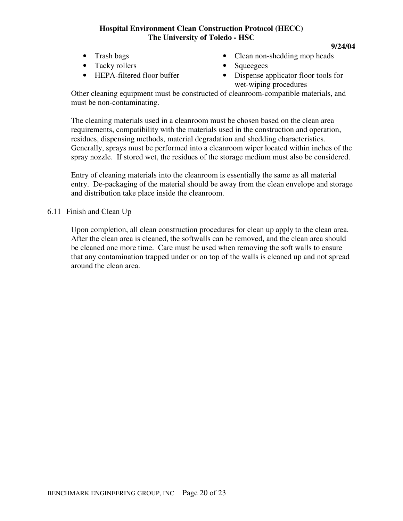- 
- Tacky rollers Squeegees
- 
- Trash bags Clean non-shedding mop heads
	-
- HEPA-filtered floor buffer Dispense applicator floor tools for wet-wiping procedures

**9/24/04** 

Other cleaning equipment must be constructed of cleanroom-compatible materials, and must be non-contaminating.

The cleaning materials used in a cleanroom must be chosen based on the clean area requirements, compatibility with the materials used in the construction and operation, residues, dispensing methods, material degradation and shedding characteristics. Generally, sprays must be performed into a cleanroom wiper located within inches of the spray nozzle. If stored wet, the residues of the storage medium must also be considered.

Entry of cleaning materials into the cleanroom is essentially the same as all material entry. De-packaging of the material should be away from the clean envelope and storage and distribution take place inside the cleanroom.

6.11 Finish and Clean Up

Upon completion, all clean construction procedures for clean up apply to the clean area. After the clean area is cleaned, the softwalls can be removed, and the clean area should be cleaned one more time. Care must be used when removing the soft walls to ensure that any contamination trapped under or on top of the walls is cleaned up and not spread around the clean area.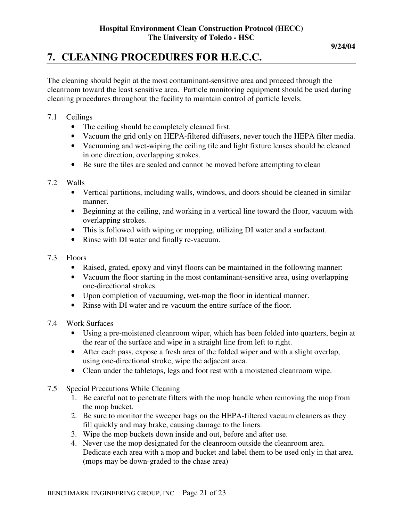## **7. CLEANING PROCEDURES FOR H.E.C.C.**

The cleaning should begin at the most contaminant-sensitive area and proceed through the cleanroom toward the least sensitive area. Particle monitoring equipment should be used during cleaning procedures throughout the facility to maintain control of particle levels.

- 7.1 Ceilings
	- The ceiling should be completely cleaned first.
	- Vacuum the grid only on HEPA-filtered diffusers, never touch the HEPA filter media.
	- Vacuuming and wet-wiping the ceiling tile and light fixture lenses should be cleaned in one direction, overlapping strokes.
	- Be sure the tiles are sealed and cannot be moved before attempting to clean

#### 7.2 Walls

- Vertical partitions, including walls, windows, and doors should be cleaned in similar manner.
- Beginning at the ceiling, and working in a vertical line toward the floor, vacuum with overlapping strokes.
- This is followed with wiping or mopping, utilizing DI water and a surfactant.
- Rinse with DI water and finally re-vacuum.
- 7.3 Floors
	- Raised, grated, epoxy and vinyl floors can be maintained in the following manner:
	- Vacuum the floor starting in the most contaminant-sensitive area, using overlapping one-directional strokes.
	- Upon completion of vacuuming, wet-mop the floor in identical manner.
	- Rinse with DI water and re-vacuum the entire surface of the floor.

#### 7.4 Work Surfaces

- Using a pre-moistened cleanroom wiper, which has been folded into quarters, begin at the rear of the surface and wipe in a straight line from left to right.
- After each pass, expose a fresh area of the folded wiper and with a slight overlap, using one-directional stroke, wipe the adjacent area.
- Clean under the tabletops, legs and foot rest with a moistened cleanroom wipe.
- 7.5 Special Precautions While Cleaning
	- 1. Be careful not to penetrate filters with the mop handle when removing the mop from the mop bucket.
	- 2. Be sure to monitor the sweeper bags on the HEPA-filtered vacuum cleaners as they fill quickly and may brake, causing damage to the liners.
	- 3. Wipe the mop buckets down inside and out, before and after use.
	- 4. Never use the mop designated for the cleanroom outside the cleanroom area. Dedicate each area with a mop and bucket and label them to be used only in that area. (mops may be down-graded to the chase area)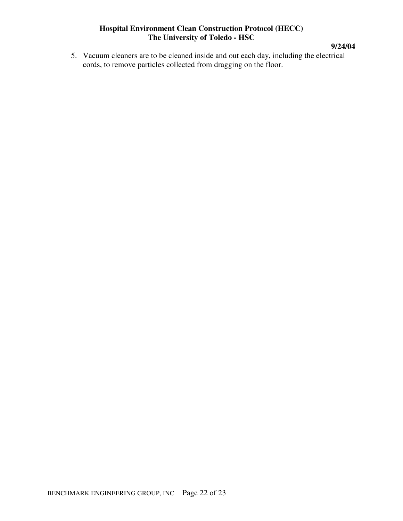**9/24/04** 

5. Vacuum cleaners are to be cleaned inside and out each day, including the electrical cords, to remove particles collected from dragging on the floor.